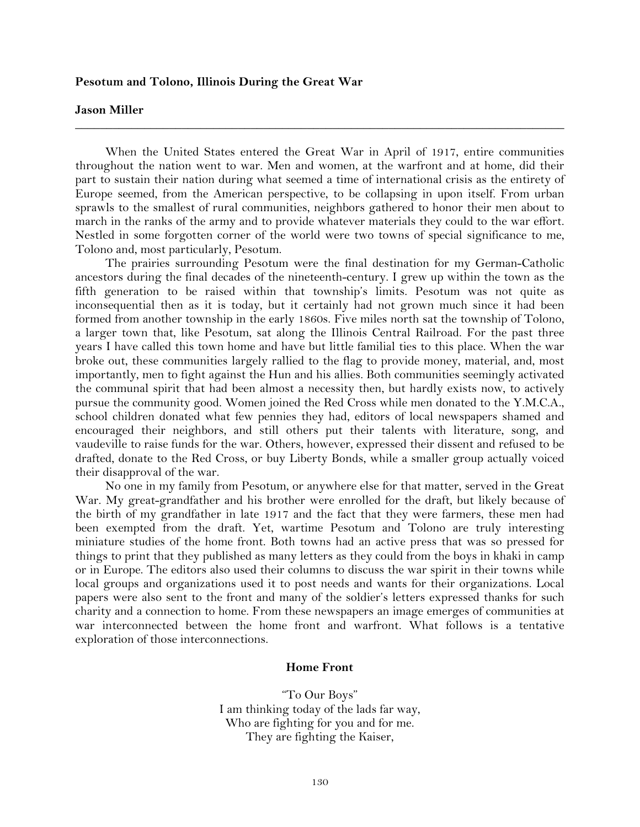## **Pesotum and Tolono, Illinois During the Great War**

### **Jason Miller**

When the United States entered the Great War in April of 1917, entire communities throughout the nation went to war. Men and women, at the warfront and at home, did their part to sustain their nation during what seemed a time of international crisis as the entirety of Europe seemed, from the American perspective, to be collapsing in upon itself. From urban sprawls to the smallest of rural communities, neighbors gathered to honor their men about to march in the ranks of the army and to provide whatever materials they could to the war effort. Nestled in some forgotten corner of the world were two towns of special significance to me, Tolono and, most particularly, Pesotum.

**\_\_\_\_\_\_\_\_\_\_\_\_\_\_\_\_\_\_\_\_\_\_\_\_\_\_\_\_\_\_\_\_\_\_\_\_\_\_\_\_\_\_\_\_\_\_\_\_\_\_\_\_\_\_\_\_\_\_\_\_\_\_\_\_\_\_\_\_\_\_\_\_\_\_\_\_\_\_**

The prairies surrounding Pesotum were the final destination for my German-Catholic ancestors during the final decades of the nineteenth-century. I grew up within the town as the fifth generation to be raised within that township's limits. Pesotum was not quite as inconsequential then as it is today, but it certainly had not grown much since it had been formed from another township in the early 1860s. Five miles north sat the township of Tolono, a larger town that, like Pesotum, sat along the Illinois Central Railroad. For the past three years I have called this town home and have but little familial ties to this place. When the war broke out, these communities largely rallied to the flag to provide money, material, and, most importantly, men to fight against the Hun and his allies. Both communities seemingly activated the communal spirit that had been almost a necessity then, but hardly exists now, to actively pursue the community good. Women joined the Red Cross while men donated to the Y.M.C.A., school children donated what few pennies they had, editors of local newspapers shamed and encouraged their neighbors, and still others put their talents with literature, song, and vaudeville to raise funds for the war. Others, however, expressed their dissent and refused to be drafted, donate to the Red Cross, or buy Liberty Bonds, while a smaller group actually voiced their disapproval of the war.

No one in my family from Pesotum, or anywhere else for that matter, served in the Great War. My great-grandfather and his brother were enrolled for the draft, but likely because of the birth of my grandfather in late 1917 and the fact that they were farmers, these men had been exempted from the draft. Yet, wartime Pesotum and Tolono are truly interesting miniature studies of the home front. Both towns had an active press that was so pressed for things to print that they published as many letters as they could from the boys in khaki in camp or in Europe. The editors also used their columns to discuss the war spirit in their towns while local groups and organizations used it to post needs and wants for their organizations. Local papers were also sent to the front and many of the soldier's letters expressed thanks for such charity and a connection to home. From these newspapers an image emerges of communities at war interconnected between the home front and warfront. What follows is a tentative exploration of those interconnections.

#### **Home Front**

"To Our Boys" I am thinking today of the lads far way, Who are fighting for you and for me. They are fighting the Kaiser,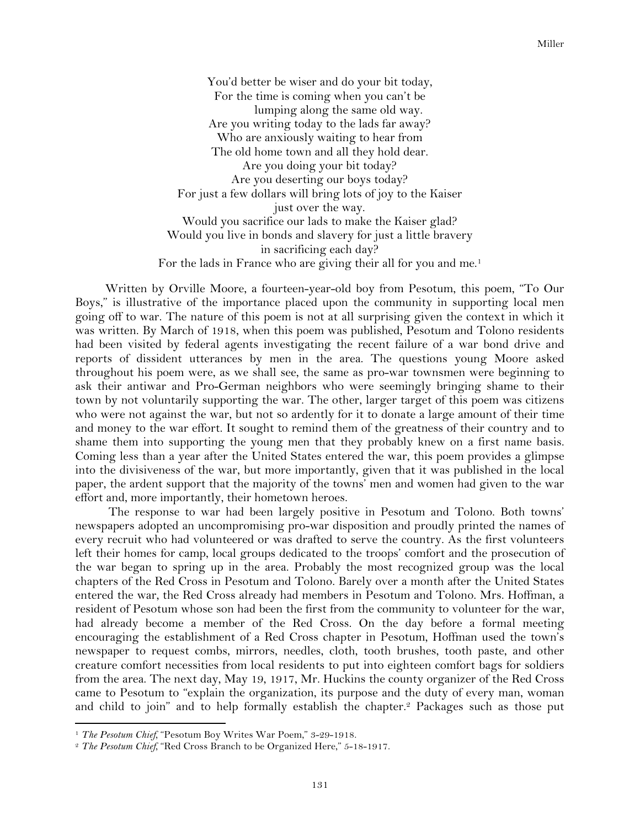You'd better be wiser and do your bit today, For the time is coming when you can't be lumping along the same old way. Are you writing today to the lads far away? Who are anxiously waiting to hear from The old home town and all they hold dear. Are you doing your bit today? Are you deserting our boys today? For just a few dollars will bring lots of joy to the Kaiser just over the way. Would you sacrifice our lads to make the Kaiser glad? Would you live in bonds and slavery for just a little bravery in sacrificing each day? For the lads in France who are giving their all for you and me.<sup>1</sup>

Written by Orville Moore, a fourteen-year-old boy from Pesotum, this poem, "To Our Boys," is illustrative of the importance placed upon the community in supporting local men going off to war. The nature of this poem is not at all surprising given the context in which it was written. By March of 1918, when this poem was published, Pesotum and Tolono residents had been visited by federal agents investigating the recent failure of a war bond drive and reports of dissident utterances by men in the area. The questions young Moore asked throughout his poem were, as we shall see, the same as pro-war townsmen were beginning to ask their antiwar and Pro-German neighbors who were seemingly bringing shame to their town by not voluntarily supporting the war. The other, larger target of this poem was citizens who were not against the war, but not so ardently for it to donate a large amount of their time and money to the war effort. It sought to remind them of the greatness of their country and to shame them into supporting the young men that they probably knew on a first name basis. Coming less than a year after the United States entered the war, this poem provides a glimpse into the divisiveness of the war, but more importantly, given that it was published in the local paper, the ardent support that the majority of the towns' men and women had given to the war effort and, more importantly, their hometown heroes.

The response to war had been largely positive in Pesotum and Tolono. Both towns' newspapers adopted an uncompromising pro-war disposition and proudly printed the names of every recruit who had volunteered or was drafted to serve the country. As the first volunteers left their homes for camp, local groups dedicated to the troops' comfort and the prosecution of the war began to spring up in the area. Probably the most recognized group was the local chapters of the Red Cross in Pesotum and Tolono. Barely over a month after the United States entered the war, the Red Cross already had members in Pesotum and Tolono. Mrs. Hoffman, a resident of Pesotum whose son had been the first from the community to volunteer for the war, had already become a member of the Red Cross. On the day before a formal meeting encouraging the establishment of a Red Cross chapter in Pesotum, Hoffman used the town's newspaper to request combs, mirrors, needles, cloth, tooth brushes, tooth paste, and other creature comfort necessities from local residents to put into eighteen comfort bags for soldiers from the area. The next day, May 19, 1917, Mr. Huckins the county organizer of the Red Cross came to Pesotum to "explain the organization, its purpose and the duty of every man, woman and child to join" and to help formally establish the chapter.2 Packages such as those put

<sup>&</sup>lt;sup>1</sup> *The Pesotum Chief,* "Pesotum Boy Writes War Poem," 3-29-1918.

<sup>2</sup> *The Pesotum Chief,* "Red Cross Branch to be Organized Here," 5-18-1917.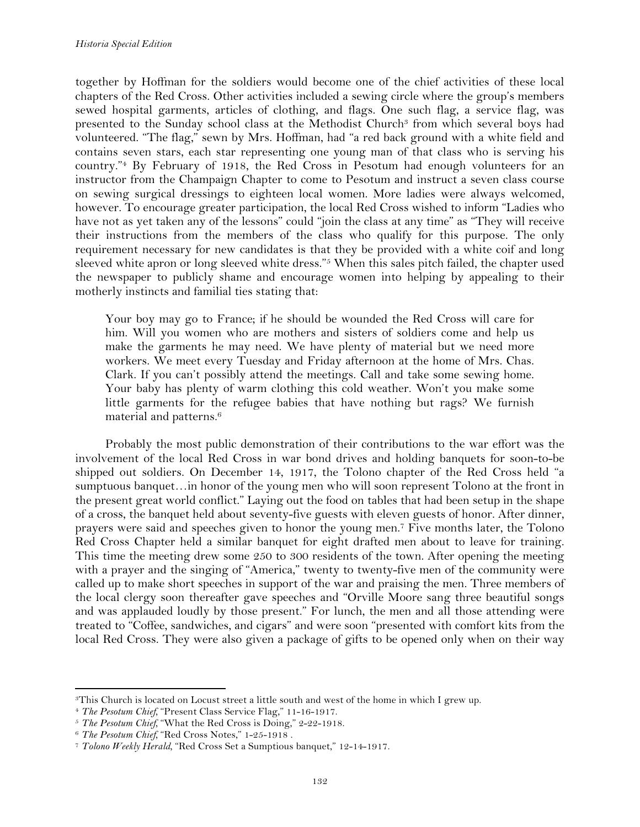together by Hoffman for the soldiers would become one of the chief activities of these local chapters of the Red Cross. Other activities included a sewing circle where the group's members sewed hospital garments, articles of clothing, and flags. One such flag, a service flag, was presented to the Sunday school class at the Methodist Church<sup>3</sup> from which several boys had volunteered. "The flag," sewn by Mrs. Hoffman, had "a red back ground with a white field and contains seven stars, each star representing one young man of that class who is serving his country."4 By February of 1918, the Red Cross in Pesotum had enough volunteers for an instructor from the Champaign Chapter to come to Pesotum and instruct a seven class course on sewing surgical dressings to eighteen local women. More ladies were always welcomed, however. To encourage greater participation, the local Red Cross wished to inform "Ladies who have not as yet taken any of the lessons" could "join the class at any time" as "They will receive their instructions from the members of the class who qualify for this purpose. The only requirement necessary for new candidates is that they be provided with a white coif and long sleeved white apron or long sleeved white dress."5 When this sales pitch failed, the chapter used the newspaper to publicly shame and encourage women into helping by appealing to their motherly instincts and familial ties stating that:

Your boy may go to France; if he should be wounded the Red Cross will care for him. Will you women who are mothers and sisters of soldiers come and help us make the garments he may need. We have plenty of material but we need more workers. We meet every Tuesday and Friday afternoon at the home of Mrs. Chas. Clark. If you can't possibly attend the meetings. Call and take some sewing home. Your baby has plenty of warm clothing this cold weather. Won't you make some little garments for the refugee babies that have nothing but rags? We furnish material and patterns.6

Probably the most public demonstration of their contributions to the war effort was the involvement of the local Red Cross in war bond drives and holding banquets for soon-to-be shipped out soldiers. On December 14, 1917, the Tolono chapter of the Red Cross held "a sumptuous banquet…in honor of the young men who will soon represent Tolono at the front in the present great world conflict." Laying out the food on tables that had been setup in the shape of a cross, the banquet held about seventy-five guests with eleven guests of honor. After dinner, prayers were said and speeches given to honor the young men.7 Five months later, the Tolono Red Cross Chapter held a similar banquet for eight drafted men about to leave for training. This time the meeting drew some 250 to 300 residents of the town. After opening the meeting with a prayer and the singing of "America," twenty to twenty-five men of the community were called up to make short speeches in support of the war and praising the men. Three members of the local clergy soon thereafter gave speeches and "Orville Moore sang three beautiful songs and was applauded loudly by those present." For lunch, the men and all those attending were treated to "Coffee, sandwiches, and cigars" and were soon "presented with comfort kits from the local Red Cross. They were also given a package of gifts to be opened only when on their way

<sup>3</sup>This Church is located on Locust street a little south and west of the home in which I grew up.

<sup>4</sup> *The Pesotum Chief,* "Present Class Service Flag," 11-16-1917.

<sup>5</sup> *The Pesotum Chief,* "What the Red Cross is Doing," 2-22-1918.

<sup>6</sup> *The Pesotum Chief,* "Red Cross Notes," 1-25-1918 .

<sup>7</sup> *Tolono Weekly Herald,* "Red Cross Set a Sumptious banquet," 12-14-1917.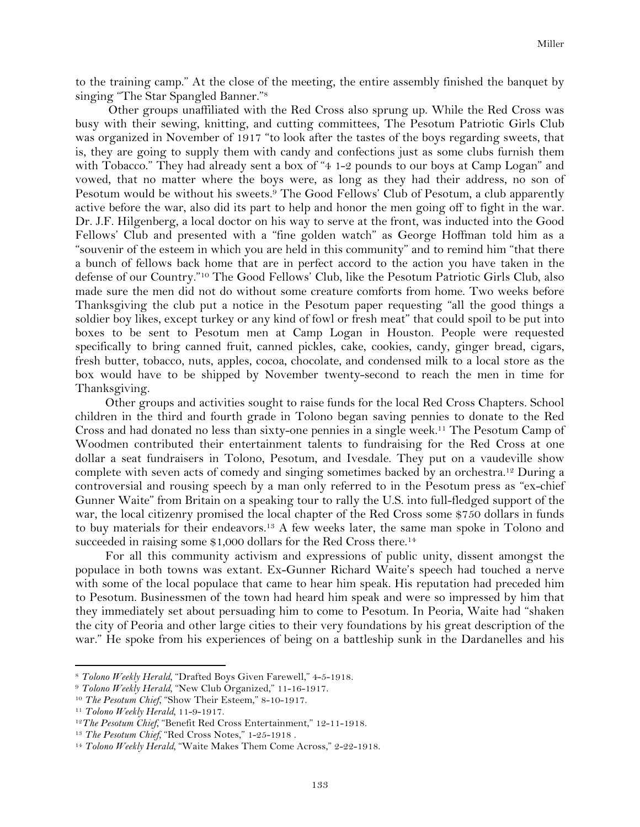to the training camp." At the close of the meeting, the entire assembly finished the banquet by singing "The Star Spangled Banner."8

Other groups unaffiliated with the Red Cross also sprung up. While the Red Cross was busy with their sewing, knitting, and cutting committees, The Pesotum Patriotic Girls Club was organized in November of 1917 "to look after the tastes of the boys regarding sweets, that is, they are going to supply them with candy and confections just as some clubs furnish them with Tobacco." They had already sent a box of "4 1-2 pounds to our boys at Camp Logan" and vowed, that no matter where the boys were, as long as they had their address, no son of Pesotum would be without his sweets.9 The Good Fellows' Club of Pesotum, a club apparently active before the war, also did its part to help and honor the men going off to fight in the war. Dr. J.F. Hilgenberg, a local doctor on his way to serve at the front, was inducted into the Good Fellows' Club and presented with a "fine golden watch" as George Hoffman told him as a "souvenir of the esteem in which you are held in this community" and to remind him "that there a bunch of fellows back home that are in perfect accord to the action you have taken in the defense of our Country."10 The Good Fellows' Club, like the Pesotum Patriotic Girls Club, also made sure the men did not do without some creature comforts from home. Two weeks before Thanksgiving the club put a notice in the Pesotum paper requesting "all the good things a soldier boy likes, except turkey or any kind of fowl or fresh meat" that could spoil to be put into boxes to be sent to Pesotum men at Camp Logan in Houston. People were requested specifically to bring canned fruit, canned pickles, cake, cookies, candy, ginger bread, cigars, fresh butter, tobacco, nuts, apples, cocoa, chocolate, and condensed milk to a local store as the box would have to be shipped by November twenty-second to reach the men in time for Thanksgiving.

Other groups and activities sought to raise funds for the local Red Cross Chapters. School children in the third and fourth grade in Tolono began saving pennies to donate to the Red Cross and had donated no less than sixty-one pennies in a single week.11 The Pesotum Camp of Woodmen contributed their entertainment talents to fundraising for the Red Cross at one dollar a seat fundraisers in Tolono, Pesotum, and Ivesdale. They put on a vaudeville show complete with seven acts of comedy and singing sometimes backed by an orchestra.12 During a controversial and rousing speech by a man only referred to in the Pesotum press as "ex-chief Gunner Waite" from Britain on a speaking tour to rally the U.S. into full-fledged support of the war, the local citizenry promised the local chapter of the Red Cross some \$750 dollars in funds to buy materials for their endeavors.<sup>13</sup> A few weeks later, the same man spoke in Tolono and succeeded in raising some \$1,000 dollars for the Red Cross there.<sup>14</sup>

For all this community activism and expressions of public unity, dissent amongst the populace in both towns was extant. Ex-Gunner Richard Waite's speech had touched a nerve with some of the local populace that came to hear him speak. His reputation had preceded him to Pesotum. Businessmen of the town had heard him speak and were so impressed by him that they immediately set about persuading him to come to Pesotum. In Peoria, Waite had "shaken the city of Peoria and other large cities to their very foundations by his great description of the war." He spoke from his experiences of being on a battleship sunk in the Dardanelles and his

<sup>8</sup> *Tolono Weekly Herald,* "Drafted Boys Given Farewell," 4-5-1918.

<sup>9</sup> *Tolono Weekly Herald,* "New Club Organized," 11-16-1917.

<sup>&</sup>lt;sup>10</sup> *The Pesotum Chief,* "Show Their Esteem," 8-10-1917.

<sup>11</sup> *Tolono Weekly Herald,* 11-9-1917.

<sup>&</sup>lt;sup>12</sup>The Pesotum Chief, "Benefit Red Cross Entertainment," 12-11-1918.

<sup>&</sup>lt;sup>13</sup> *The Pesotum Chief,* "Red Cross Notes," 1-25-1918.

<sup>14</sup> *Tolono Weekly Herald,* "Waite Makes Them Come Across," 2-22-1918.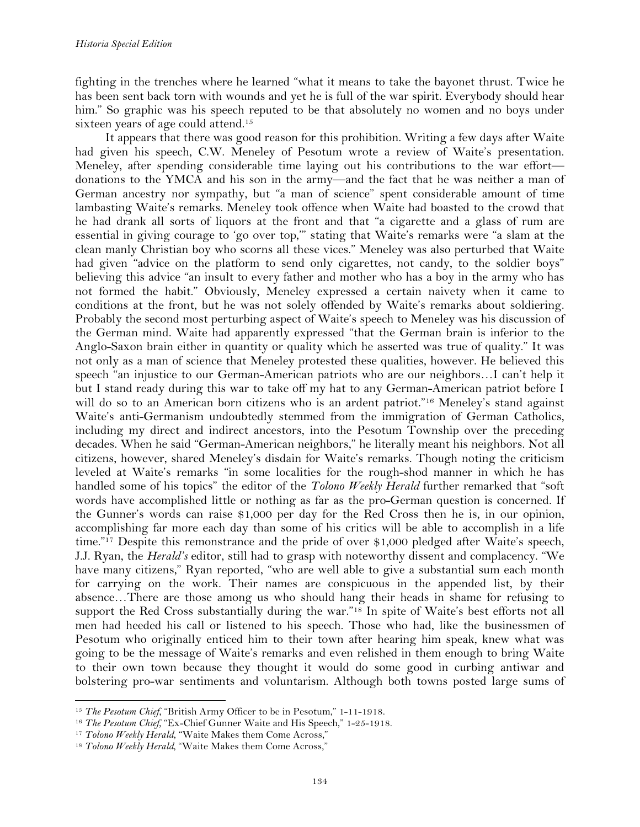fighting in the trenches where he learned "what it means to take the bayonet thrust. Twice he has been sent back torn with wounds and yet he is full of the war spirit. Everybody should hear him." So graphic was his speech reputed to be that absolutely no women and no boys under sixteen years of age could attend.<sup>15</sup>

It appears that there was good reason for this prohibition. Writing a few days after Waite had given his speech, C.W. Meneley of Pesotum wrote a review of Waite's presentation. Meneley, after spending considerable time laying out his contributions to the war effort donations to the YMCA and his son in the army—and the fact that he was neither a man of German ancestry nor sympathy, but "a man of science" spent considerable amount of time lambasting Waite's remarks. Meneley took offence when Waite had boasted to the crowd that he had drank all sorts of liquors at the front and that "a cigarette and a glass of rum are essential in giving courage to 'go over top,'" stating that Waite's remarks were "a slam at the clean manly Christian boy who scorns all these vices." Meneley was also perturbed that Waite had given "advice on the platform to send only cigarettes, not candy, to the soldier boys" believing this advice "an insult to every father and mother who has a boy in the army who has not formed the habit." Obviously, Meneley expressed a certain naivety when it came to conditions at the front, but he was not solely offended by Waite's remarks about soldiering. Probably the second most perturbing aspect of Waite's speech to Meneley was his discussion of the German mind. Waite had apparently expressed "that the German brain is inferior to the Anglo-Saxon brain either in quantity or quality which he asserted was true of quality." It was not only as a man of science that Meneley protested these qualities, however. He believed this speech "an injustice to our German-American patriots who are our neighbors…I can't help it but I stand ready during this war to take off my hat to any German-American patriot before I will do so to an American born citizens who is an ardent patriot."<sup>16</sup> Meneley's stand against Waite's anti-Germanism undoubtedly stemmed from the immigration of German Catholics, including my direct and indirect ancestors, into the Pesotum Township over the preceding decades. When he said "German-American neighbors," he literally meant his neighbors. Not all citizens, however, shared Meneley's disdain for Waite's remarks. Though noting the criticism leveled at Waite's remarks "in some localities for the rough-shod manner in which he has handled some of his topics" the editor of the *Tolono Weekly Herald* further remarked that "soft words have accomplished little or nothing as far as the pro-German question is concerned. If the Gunner's words can raise \$1,000 per day for the Red Cross then he is, in our opinion, accomplishing far more each day than some of his critics will be able to accomplish in a life time."17 Despite this remonstrance and the pride of over \$1,000 pledged after Waite's speech, J.J. Ryan, the *Herald's* editor, still had to grasp with noteworthy dissent and complacency. "We have many citizens," Ryan reported, "who are well able to give a substantial sum each month for carrying on the work. Their names are conspicuous in the appended list, by their absence…There are those among us who should hang their heads in shame for refusing to support the Red Cross substantially during the war."18 In spite of Waite's best efforts not all men had heeded his call or listened to his speech. Those who had, like the businessmen of Pesotum who originally enticed him to their town after hearing him speak, knew what was going to be the message of Waite's remarks and even relished in them enough to bring Waite to their own town because they thought it would do some good in curbing antiwar and bolstering pro-war sentiments and voluntarism. Although both towns posted large sums of

<sup>&</sup>lt;sup>15</sup> *The Pesotum Chief,* "British Army Officer to be in Pesotum," 1-11-1918.

<sup>&</sup>lt;sup>16</sup> *The Pesotum Chief,* "Ex-Chief Gunner Waite and His Speech," 1-25-1918.

<sup>&</sup>lt;sup>17</sup> Tolono Weekly Herald, "Waite Makes them Come Across,"

<sup>&</sup>lt;sup>18</sup> Tolono Weekly Herald, "Waite Makes them Come Across,"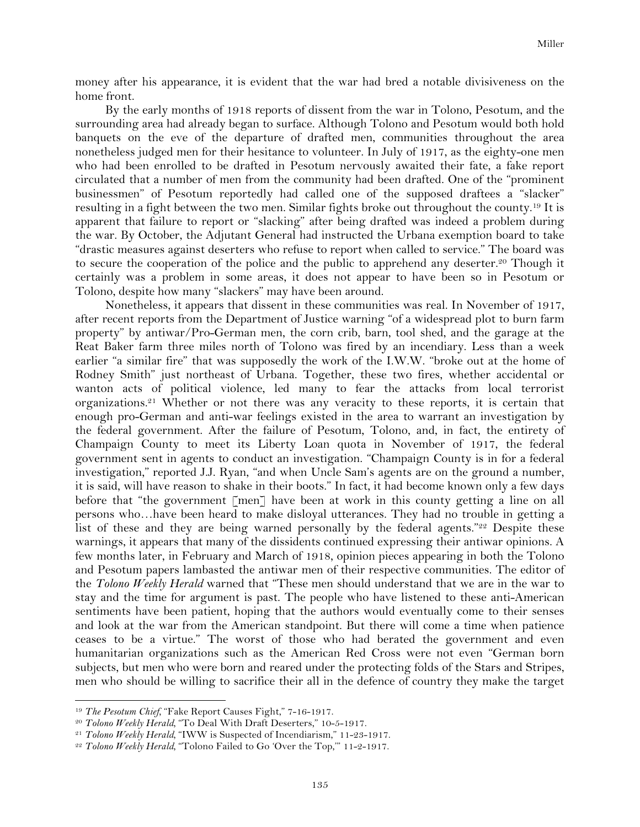money after his appearance, it is evident that the war had bred a notable divisiveness on the home front.

By the early months of 1918 reports of dissent from the war in Tolono, Pesotum, and the surrounding area had already began to surface. Although Tolono and Pesotum would both hold banquets on the eve of the departure of drafted men, communities throughout the area nonetheless judged men for their hesitance to volunteer. In July of 1917, as the eighty-one men who had been enrolled to be drafted in Pesotum nervously awaited their fate, a fake report circulated that a number of men from the community had been drafted. One of the "prominent businessmen" of Pesotum reportedly had called one of the supposed draftees a "slacker" resulting in a fight between the two men. Similar fights broke out throughout the county.19 It is apparent that failure to report or "slacking" after being drafted was indeed a problem during the war. By October, the Adjutant General had instructed the Urbana exemption board to take "drastic measures against deserters who refuse to report when called to service." The board was to secure the cooperation of the police and the public to apprehend any deserter.20 Though it certainly was a problem in some areas, it does not appear to have been so in Pesotum or Tolono, despite how many "slackers" may have been around.

Nonetheless, it appears that dissent in these communities was real. In November of 1917, after recent reports from the Department of Justice warning "of a widespread plot to burn farm property" by antiwar/Pro-German men, the corn crib, barn, tool shed, and the garage at the Reat Baker farm three miles north of Tolono was fired by an incendiary. Less than a week earlier "a similar fire" that was supposedly the work of the I.W.W. "broke out at the home of Rodney Smith" just northeast of Urbana. Together, these two fires, whether accidental or wanton acts of political violence, led many to fear the attacks from local terrorist organizations.21 Whether or not there was any veracity to these reports, it is certain that enough pro-German and anti-war feelings existed in the area to warrant an investigation by the federal government. After the failure of Pesotum, Tolono, and, in fact, the entirety of Champaign County to meet its Liberty Loan quota in November of 1917, the federal government sent in agents to conduct an investigation. "Champaign County is in for a federal investigation," reported J.J. Ryan, "and when Uncle Sam's agents are on the ground a number, it is said, will have reason to shake in their boots." In fact, it had become known only a few days before that "the government [men] have been at work in this county getting a line on all persons who…have been heard to make disloyal utterances. They had no trouble in getting a list of these and they are being warned personally by the federal agents."<sup>22</sup> Despite these warnings, it appears that many of the dissidents continued expressing their antiwar opinions. A few months later, in February and March of 1918, opinion pieces appearing in both the Tolono and Pesotum papers lambasted the antiwar men of their respective communities. The editor of the *Tolono Weekly Herald* warned that "These men should understand that we are in the war to stay and the time for argument is past. The people who have listened to these anti-American sentiments have been patient, hoping that the authors would eventually come to their senses and look at the war from the American standpoint. But there will come a time when patience ceases to be a virtue." The worst of those who had berated the government and even humanitarian organizations such as the American Red Cross were not even "German born subjects, but men who were born and reared under the protecting folds of the Stars and Stripes, men who should be willing to sacrifice their all in the defence of country they make the target

<sup>&</sup>lt;sup>19</sup> The Pesotum Chief, "Fake Report Causes Fight," 7-16-1917.

<sup>20</sup> *Tolono Weekly Herald,* "To Deal With Draft Deserters," 10-5-1917.

<sup>21</sup> *Tolono Weekly Herald,* "IWW is Suspected of Incendiarism," 11-23-1917.

<sup>22</sup> *Tolono Weekly Herald,* "Tolono Failed to Go 'Over the Top,'" 11-2-1917.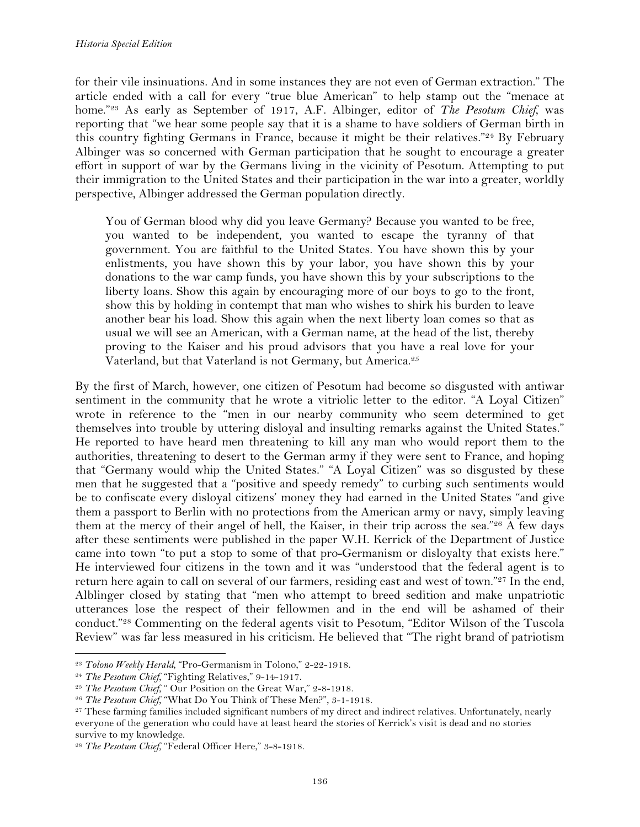for their vile insinuations. And in some instances they are not even of German extraction." The article ended with a call for every "true blue American" to help stamp out the "menace at home."23 As early as September of 1917, A.F. Albinger, editor of *The Pesotum Chief*, was reporting that "we hear some people say that it is a shame to have soldiers of German birth in this country fighting Germans in France, because it might be their relatives."24 By February Albinger was so concerned with German participation that he sought to encourage a greater effort in support of war by the Germans living in the vicinity of Pesotum. Attempting to put their immigration to the United States and their participation in the war into a greater, worldly perspective, Albinger addressed the German population directly.

You of German blood why did you leave Germany? Because you wanted to be free, you wanted to be independent, you wanted to escape the tyranny of that government. You are faithful to the United States. You have shown this by your enlistments, you have shown this by your labor, you have shown this by your donations to the war camp funds, you have shown this by your subscriptions to the liberty loans. Show this again by encouraging more of our boys to go to the front, show this by holding in contempt that man who wishes to shirk his burden to leave another bear his load. Show this again when the next liberty loan comes so that as usual we will see an American, with a German name, at the head of the list, thereby proving to the Kaiser and his proud advisors that you have a real love for your Vaterland, but that Vaterland is not Germany, but America.25

By the first of March, however, one citizen of Pesotum had become so disgusted with antiwar sentiment in the community that he wrote a vitriolic letter to the editor. "A Loyal Citizen" wrote in reference to the "men in our nearby community who seem determined to get themselves into trouble by uttering disloyal and insulting remarks against the United States." He reported to have heard men threatening to kill any man who would report them to the authorities, threatening to desert to the German army if they were sent to France, and hoping that "Germany would whip the United States." "A Loyal Citizen" was so disgusted by these men that he suggested that a "positive and speedy remedy" to curbing such sentiments would be to confiscate every disloyal citizens' money they had earned in the United States "and give them a passport to Berlin with no protections from the American army or navy, simply leaving them at the mercy of their angel of hell, the Kaiser, in their trip across the sea."26 A few days after these sentiments were published in the paper W.H. Kerrick of the Department of Justice came into town "to put a stop to some of that pro-Germanism or disloyalty that exists here." He interviewed four citizens in the town and it was "understood that the federal agent is to return here again to call on several of our farmers, residing east and west of town."27 In the end, Alblinger closed by stating that "men who attempt to breed sedition and make unpatriotic utterances lose the respect of their fellowmen and in the end will be ashamed of their conduct."28 Commenting on the federal agents visit to Pesotum, "Editor Wilson of the Tuscola Review" was far less measured in his criticism. He believed that "The right brand of patriotism

<sup>23</sup> *Tolono Weekly Herald,* "Pro-Germanism in Tolono," 2-22-1918.

<sup>24</sup> *The Pesotum Chief,* "Fighting Relatives," 9-14-1917.

<sup>&</sup>lt;sup>25</sup> *The Pesotum Chief,* " Our Position on the Great War," 2-8-1918.

<sup>26</sup> *The Pesotum Chief,* "What Do You Think of These Men?", 3-1-1918.

<sup>&</sup>lt;sup>27</sup> These farming families included significant numbers of my direct and indirect relatives. Unfortunately, nearly everyone of the generation who could have at least heard the stories of Kerrick's visit is dead and no stories survive to my knowledge.

<sup>28</sup> *The Pesotum Chief,* "Federal Officer Here," 3-8-1918.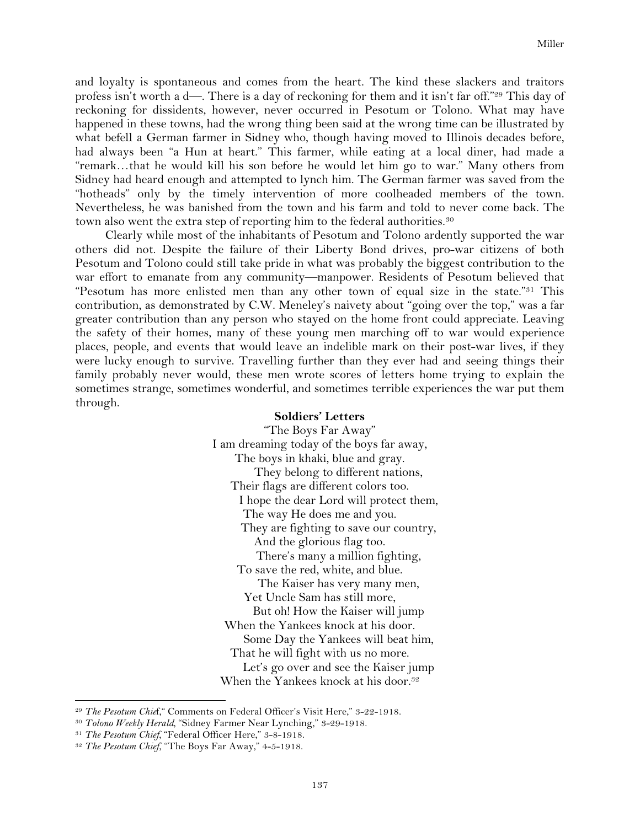and loyalty is spontaneous and comes from the heart. The kind these slackers and traitors profess isn't worth a d—. There is a day of reckoning for them and it isn't far off."29 This day of reckoning for dissidents, however, never occurred in Pesotum or Tolono. What may have happened in these towns, had the wrong thing been said at the wrong time can be illustrated by what befell a German farmer in Sidney who, though having moved to Illinois decades before, had always been "a Hun at heart." This farmer, while eating at a local diner, had made a "remark…that he would kill his son before he would let him go to war." Many others from Sidney had heard enough and attempted to lynch him. The German farmer was saved from the "hotheads" only by the timely intervention of more coolheaded members of the town. Nevertheless, he was banished from the town and his farm and told to never come back. The town also went the extra step of reporting him to the federal authorities.<sup>30</sup>

Clearly while most of the inhabitants of Pesotum and Tolono ardently supported the war others did not. Despite the failure of their Liberty Bond drives, pro-war citizens of both Pesotum and Tolono could still take pride in what was probably the biggest contribution to the war effort to emanate from any community—manpower. Residents of Pesotum believed that "Pesotum has more enlisted men than any other town of equal size in the state."<sup>31</sup> This contribution, as demonstrated by C.W. Meneley's naivety about "going over the top," was a far greater contribution than any person who stayed on the home front could appreciate. Leaving the safety of their homes, many of these young men marching off to war would experience places, people, and events that would leave an indelible mark on their post-war lives, if they were lucky enough to survive. Travelling further than they ever had and seeing things their family probably never would, these men wrote scores of letters home trying to explain the sometimes strange, sometimes wonderful, and sometimes terrible experiences the war put them through.

#### **Soldiers' Letters**

"The Boys Far Away" I am dreaming today of the boys far away, The boys in khaki, blue and gray. They belong to different nations, Their flags are different colors too. I hope the dear Lord will protect them, The way He does me and you. They are fighting to save our country, And the glorious flag too. There's many a million fighting, To save the red, white, and blue. The Kaiser has very many men, Yet Uncle Sam has still more, But oh! How the Kaiser will jump When the Yankees knock at his door. Some Day the Yankees will beat him, That he will fight with us no more. Let's go over and see the Kaiser jump When the Yankees knock at his door.<sup>32</sup>

<sup>&</sup>lt;sup>29</sup> *The Pesotum Chief*, "Comments on Federal Officer's Visit Here," 3-22-1918.

<sup>30</sup> *Tolono Weekly Herald,* "Sidney Farmer Near Lynching," 3-29-1918.

<sup>31</sup> *The Pesotum Chief,* "Federal Officer Here," 3-8-1918.

<sup>32</sup> *The Pesotum Chief*, "The Boys Far Away," 4-5-1918.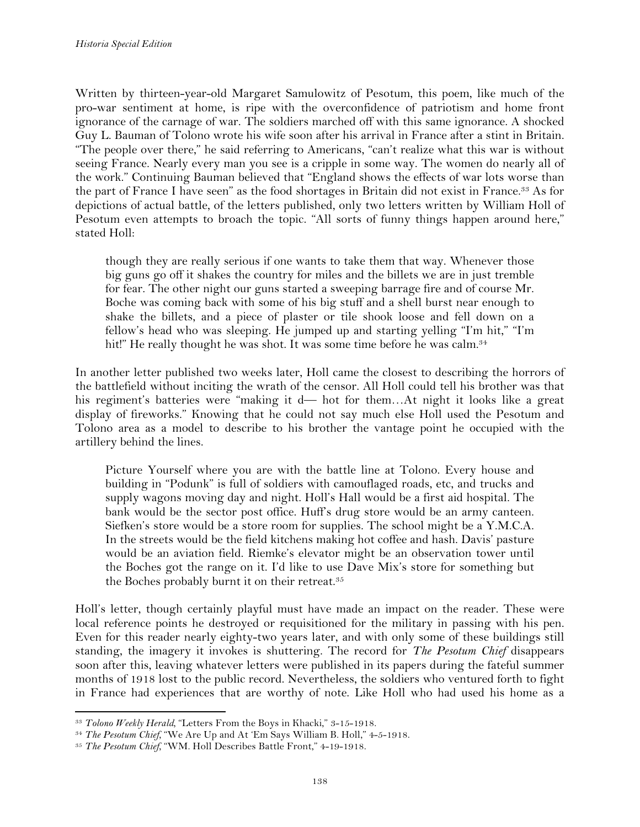Written by thirteen-year-old Margaret Samulowitz of Pesotum, this poem, like much of the pro-war sentiment at home, is ripe with the overconfidence of patriotism and home front ignorance of the carnage of war. The soldiers marched off with this same ignorance. A shocked Guy L. Bauman of Tolono wrote his wife soon after his arrival in France after a stint in Britain. "The people over there," he said referring to Americans, "can't realize what this war is without seeing France. Nearly every man you see is a cripple in some way. The women do nearly all of the work." Continuing Bauman believed that "England shows the effects of war lots worse than the part of France I have seen" as the food shortages in Britain did not exist in France.33 As for depictions of actual battle, of the letters published, only two letters written by William Holl of Pesotum even attempts to broach the topic. "All sorts of funny things happen around here," stated Holl:

though they are really serious if one wants to take them that way. Whenever those big guns go off it shakes the country for miles and the billets we are in just tremble for fear. The other night our guns started a sweeping barrage fire and of course Mr. Boche was coming back with some of his big stuff and a shell burst near enough to shake the billets, and a piece of plaster or tile shook loose and fell down on a fellow's head who was sleeping. He jumped up and starting yelling "I'm hit," "I'm hit!" He really thought he was shot. It was some time before he was calm.<sup>34</sup>

In another letter published two weeks later, Holl came the closest to describing the horrors of the battlefield without inciting the wrath of the censor. All Holl could tell his brother was that his regiment's batteries were "making it d— hot for them...At night it looks like a great display of fireworks." Knowing that he could not say much else Holl used the Pesotum and Tolono area as a model to describe to his brother the vantage point he occupied with the artillery behind the lines.

Picture Yourself where you are with the battle line at Tolono. Every house and building in "Podunk" is full of soldiers with camouflaged roads, etc, and trucks and supply wagons moving day and night. Holl's Hall would be a first aid hospital. The bank would be the sector post office. Huff's drug store would be an army canteen. Siefken's store would be a store room for supplies. The school might be a Y.M.C.A. In the streets would be the field kitchens making hot coffee and hash. Davis' pasture would be an aviation field. Riemke's elevator might be an observation tower until the Boches got the range on it. I'd like to use Dave Mix's store for something but the Boches probably burnt it on their retreat.<sup>35</sup>

Holl's letter, though certainly playful must have made an impact on the reader. These were local reference points he destroyed or requisitioned for the military in passing with his pen. Even for this reader nearly eighty-two years later, and with only some of these buildings still standing, the imagery it invokes is shuttering. The record for *The Pesotum Chief* disappears soon after this, leaving whatever letters were published in its papers during the fateful summer months of 1918 lost to the public record. Nevertheless, the soldiers who ventured forth to fight in France had experiences that are worthy of note. Like Holl who had used his home as a

<sup>!!!!!!!!!!!!!!!!!!!!!!!!!!!!!!!!!!!!!!!!!!!!!!!!!!!!!!!!!!!!</sup> <sup>33</sup> *Tolono Weekly Herald,* "Letters From the Boys in Khacki," 3-15-1918.

<sup>34</sup> *The Pesotum Chief,* "We Are Up and At 'Em Says William B. Holl," 4-5-1918.

<sup>35</sup> *The Pesotum Chief,* "WM. Holl Describes Battle Front," 4-19-1918.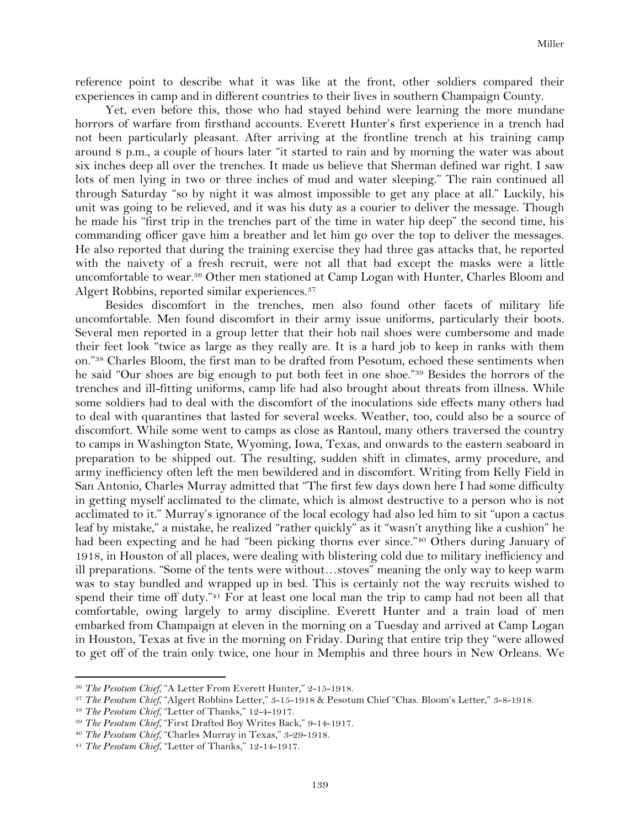reference point to describe what it was like at the front, other soldiers compared their experiences in camp and in different countries to their lives in southern Champaign County.

Yet, even before this, those who had stayed behind were learning the more mundane horrors of warfare from firsthand accounts. Everett Hunter's first experience in a trench had not been particularly pleasant. After arriving at the frontline trench at his training camp around 8 p.m., a couple of hours later "it started to rain and by morning the water was about six inches deep all over the trenches. It made us believe that Sherman defined war right. I saw lots of men lying in two or three inches of mud and water sleeping." The rain continued all through Saturday "so by night it was almost impossible to get any place at all." Luckily, his unit was going to be relieved, and it was his duty as a courier to deliver the message. Though he made his "first trip in the trenches part of the time in water hip deep" the second time, his commanding officer gave him a breather and let him go over the top to deliver the messages. He also reported that during the training exercise they had three gas attacks that, he reported with the naivety of a fresh recruit, were not all that bad except the masks were a little uncomfortable to wear.36 Other men stationed at Camp Logan with Hunter, Charles Bloom and Algert Robbins, reported similar experiences.37

Besides discomfort in the trenches, men also found other facets of military life uncomfortable. Men found discomfort in their army issue uniforms, particularly their boots. Several men reported in a group letter that their hob nail shoes were cumbersome and made their feet look "twice as large as they really are. It is a hard job to keep in ranks with them on."38 Charles Bloom, the first man to be drafted from Pesotum, echoed these sentiments when he said "Our shoes are big enough to put both feet in one shoe."39 Besides the horrors of the trenches and ill-fitting uniforms, camp life had also brought about threats from illness. While some soldiers had to deal with the discomfort of the inoculations side effects many others had to deal with quarantines that lasted for several weeks. Weather, too, could also be a source of discomfort. While some went to camps as close as Rantoul, many others traversed the country to camps in Washington State, Wyoming, Iowa, Texas, and onwards to the eastern seaboard in preparation to be shipped out. The resulting, sudden shift in climates, army procedure, and army inefficiency often left the men bewildered and in discomfort. Writing from Kelly Field in San Antonio, Charles Murray admitted that "The first few days down here I had some difficulty in getting myself acclimated to the climate, which is almost destructive to a person who is not acclimated to it." Murray's ignorance of the local ecology had also led him to sit "upon a cactus leaf by mistake," a mistake, he realized "rather quickly" as it "wasn't anything like a cushion" he had been expecting and he had "been picking thorns ever since."40 Others during January of 1918, in Houston of all places, were dealing with blistering cold due to military inefficiency and ill preparations. "Some of the tents were without…stoves" meaning the only way to keep warm was to stay bundled and wrapped up in bed. This is certainly not the way recruits wished to spend their time off duty."41 For at least one local man the trip to camp had not been all that comfortable, owing largely to army discipline. Everett Hunter and a train load of men embarked from Champaign at eleven in the morning on a Tuesday and arrived at Camp Logan in Houston, Texas at five in the morning on Friday. During that entire trip they "were allowed to get off of the train only twice, one hour in Memphis and three hours in New Orleans. We

<sup>36</sup> *The Pesotum Chief,* "A Letter From Everett Hunter," 2-15-1918.

<sup>37</sup> *The Pesotum Chief,* "Algert Robbins Letter," 3-15-1918 & Pesotum Chief "Chas. Bloom's Letter," 3-8-1918.

<sup>38</sup> *The Pesotum Chief,* "Letter of Thanks," 12-4-1917.

<sup>39</sup> *The Pesotum Chief,* "First Drafted Boy Writes Back," 9-14-1917.

<sup>40</sup> *The Pesotum Chief,* "Charles Murray in Texas," 3-29-1918.

<sup>41</sup> *The Pesotum Chief*, "Letter of Thanks," 12-14-1917.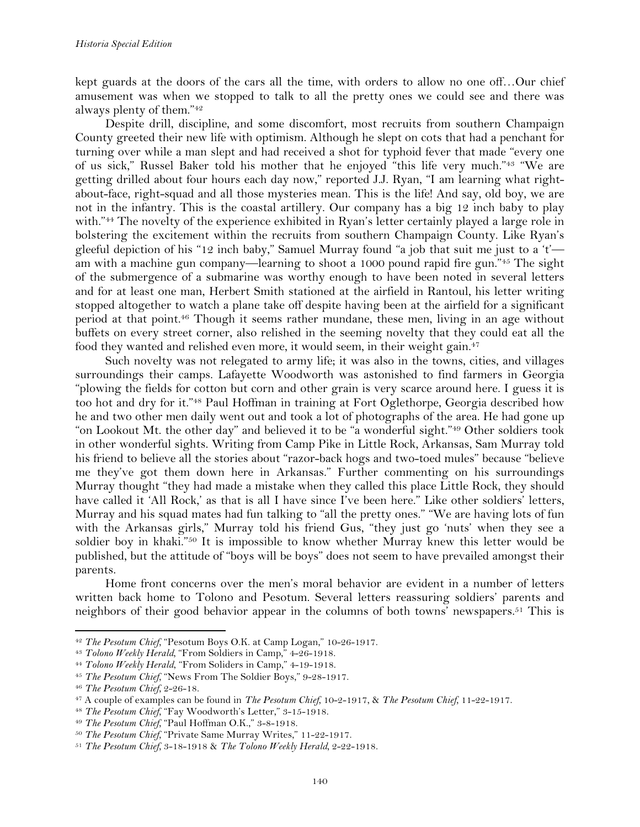kept guards at the doors of the cars all the time, with orders to allow no one off…Our chief amusement was when we stopped to talk to all the pretty ones we could see and there was always plenty of them."42

Despite drill, discipline, and some discomfort, most recruits from southern Champaign County greeted their new life with optimism. Although he slept on cots that had a penchant for turning over while a man slept and had received a shot for typhoid fever that made "every one of us sick," Russel Baker told his mother that he enjoyed "this life very much."43 "We are getting drilled about four hours each day now," reported J.J. Ryan, "I am learning what rightabout-face, right-squad and all those mysteries mean. This is the life! And say, old boy, we are not in the infantry. This is the coastal artillery. Our company has a big 12 inch baby to play with."44 The novelty of the experience exhibited in Ryan's letter certainly played a large role in bolstering the excitement within the recruits from southern Champaign County. Like Ryan's gleeful depiction of his "12 inch baby," Samuel Murray found "a job that suit me just to a 't' am with a machine gun company—learning to shoot a 1000 pound rapid fire gun."45 The sight of the submergence of a submarine was worthy enough to have been noted in several letters and for at least one man, Herbert Smith stationed at the airfield in Rantoul, his letter writing stopped altogether to watch a plane take off despite having been at the airfield for a significant period at that point.46 Though it seems rather mundane, these men, living in an age without buffets on every street corner, also relished in the seeming novelty that they could eat all the food they wanted and relished even more, it would seem, in their weight gain.47

Such novelty was not relegated to army life; it was also in the towns, cities, and villages surroundings their camps. Lafayette Woodworth was astonished to find farmers in Georgia "plowing the fields for cotton but corn and other grain is very scarce around here. I guess it is too hot and dry for it."48 Paul Hoffman in training at Fort Oglethorpe, Georgia described how he and two other men daily went out and took a lot of photographs of the area. He had gone up "on Lookout Mt. the other day" and believed it to be "a wonderful sight."49 Other soldiers took in other wonderful sights. Writing from Camp Pike in Little Rock, Arkansas, Sam Murray told his friend to believe all the stories about "razor-back hogs and two-toed mules" because "believe me they've got them down here in Arkansas." Further commenting on his surroundings Murray thought "they had made a mistake when they called this place Little Rock, they should have called it 'All Rock,' as that is all I have since I've been here." Like other soldiers' letters, Murray and his squad mates had fun talking to "all the pretty ones." "We are having lots of fun with the Arkansas girls," Murray told his friend Gus, "they just go 'nuts' when they see a soldier boy in khaki."50 It is impossible to know whether Murray knew this letter would be published, but the attitude of "boys will be boys" does not seem to have prevailed amongst their parents.

Home front concerns over the men's moral behavior are evident in a number of letters written back home to Tolono and Pesotum. Several letters reassuring soldiers' parents and neighbors of their good behavior appear in the columns of both towns' newspapers.<sup>51</sup> This is

<sup>42</sup> *The Pesotum Chief,* "Pesotum Boys O.K. at Camp Logan," 10-26-1917.

<sup>43</sup> *Tolono Weekly Herald,* "From Soldiers in Camp," 4-26-1918.

<sup>44</sup> *Tolono Weekly Herald*, "From Soliders in Camp," 4-19-1918.

<sup>45</sup> *The Pesotum Chief,* "News From The Soldier Boys," 9-28-1917.

<sup>46</sup> *The Pesotum Chief,* 2-26-18.

<sup>47</sup> A couple of examples can be found in *The Pesotum Chief,* 10-2-1917, & *The Pesotum Chief,* 11-22-1917.

<sup>48</sup> *The Pesotum Chief,* "Fay Woodworth's Letter," 3-15-1918.

<sup>49</sup> *The Pesotum Chief,* "Paul Hoffman O.K.," 3-8-1918.

<sup>50</sup> *The Pesotum Chief,* "Private Same Murray Writes," 11-22-1917.

<sup>51</sup> *The Pesotum Chief,* 3-18-1918 & *The Tolono Weekly Herald,* 2-22-1918.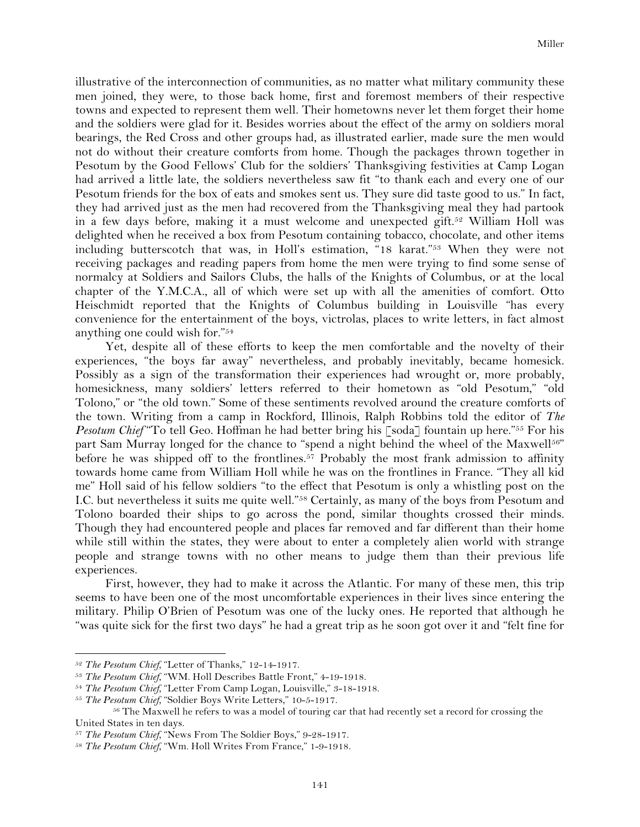illustrative of the interconnection of communities, as no matter what military community these men joined, they were, to those back home, first and foremost members of their respective towns and expected to represent them well. Their hometowns never let them forget their home and the soldiers were glad for it. Besides worries about the effect of the army on soldiers moral bearings, the Red Cross and other groups had, as illustrated earlier, made sure the men would not do without their creature comforts from home. Though the packages thrown together in Pesotum by the Good Fellows' Club for the soldiers' Thanksgiving festivities at Camp Logan had arrived a little late, the soldiers nevertheless saw fit "to thank each and every one of our Pesotum friends for the box of eats and smokes sent us. They sure did taste good to us." In fact, they had arrived just as the men had recovered from the Thanksgiving meal they had partook in a few days before, making it a must welcome and unexpected gift.52 William Holl was delighted when he received a box from Pesotum containing tobacco, chocolate, and other items including butterscotch that was, in Holl's estimation, "18 karat."53 When they were not receiving packages and reading papers from home the men were trying to find some sense of normalcy at Soldiers and Sailors Clubs, the halls of the Knights of Columbus, or at the local chapter of the Y.M.C.A., all of which were set up with all the amenities of comfort. Otto Heischmidt reported that the Knights of Columbus building in Louisville "has every convenience for the entertainment of the boys, victrolas, places to write letters, in fact almost anything one could wish for."54

Yet, despite all of these efforts to keep the men comfortable and the novelty of their experiences, "the boys far away" nevertheless, and probably inevitably, became homesick. Possibly as a sign of the transformation their experiences had wrought or, more probably, homesickness, many soldiers' letters referred to their hometown as "old Pesotum," "old Tolono," or "the old town." Some of these sentiments revolved around the creature comforts of the town. Writing from a camp in Rockford, Illinois, Ralph Robbins told the editor of *The Pesotum Chief* "To tell Geo. Hoffman he had better bring his [soda] fountain up here."55 For his part Sam Murray longed for the chance to "spend a night behind the wheel of the Maxwell<sup>56"</sup> before he was shipped off to the frontlines.<sup>57</sup> Probably the most frank admission to affinity towards home came from William Holl while he was on the frontlines in France. "They all kid me" Holl said of his fellow soldiers "to the effect that Pesotum is only a whistling post on the I.C. but nevertheless it suits me quite well."58 Certainly, as many of the boys from Pesotum and Tolono boarded their ships to go across the pond, similar thoughts crossed their minds. Though they had encountered people and places far removed and far different than their home while still within the states, they were about to enter a completely alien world with strange people and strange towns with no other means to judge them than their previous life experiences.

First, however, they had to make it across the Atlantic. For many of these men, this trip seems to have been one of the most uncomfortable experiences in their lives since entering the military. Philip O'Brien of Pesotum was one of the lucky ones. He reported that although he "was quite sick for the first two days" he had a great trip as he soon got over it and "felt fine for

<sup>52</sup> *The Pesotum Chief,* "Letter of Thanks," 12-14-1917.

<sup>&</sup>lt;sup>53</sup> *The Pesotum Chief,* "WM. Holl Describes Battle Front," 4-19-1918.<br><sup>54</sup> *The Pesotum Chief,* "Letter From Camp Logan, Louisville," 3-18-1918.

<sup>&</sup>lt;sup>55</sup> *The Pesotum Chief,* "Soldier Boys Write Letters," 10-5-1917.

<sup>&</sup>lt;sup>56</sup> The Maxwell he refers to was a model of touring car that had recently set a record for crossing the United States in ten days.

<sup>57</sup> *The Pesotum Chief,* "News From The Soldier Boys," 9-28-1917.

<sup>58</sup> *The Pesotum Chief,* "Wm. Holl Writes From France," 1-9-1918.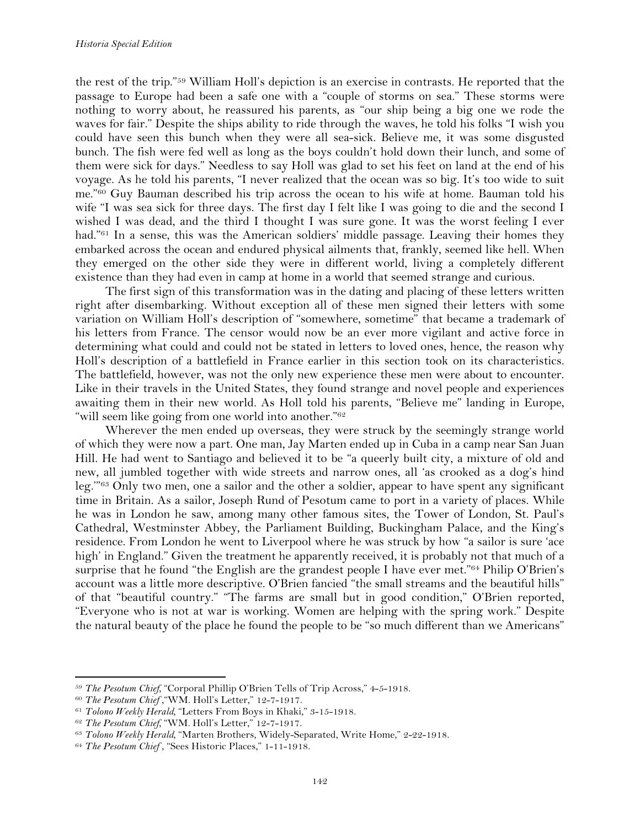the rest of the trip."59 William Holl's depiction is an exercise in contrasts. He reported that the passage to Europe had been a safe one with a "couple of storms on sea." These storms were nothing to worry about, he reassured his parents, as "our ship being a big one we rode the waves for fair." Despite the ships ability to ride through the waves, he told his folks "I wish you could have seen this bunch when they were all sea-sick. Believe me, it was some disgusted bunch. The fish were fed well as long as the boys couldn't hold down their lunch, and some of them were sick for days." Needless to say Holl was glad to set his feet on land at the end of his voyage. As he told his parents, "I never realized that the ocean was so big. It's too wide to suit me."60 Guy Bauman described his trip across the ocean to his wife at home. Bauman told his wife "I was sea sick for three days. The first day I felt like I was going to die and the second I wished I was dead, and the third I thought I was sure gone. It was the worst feeling I ever had."<sup>61</sup> In a sense, this was the American soldiers' middle passage. Leaving their homes they embarked across the ocean and endured physical ailments that, frankly, seemed like hell. When they emerged on the other side they were in different world, living a completely different existence than they had even in camp at home in a world that seemed strange and curious.

The first sign of this transformation was in the dating and placing of these letters written right after disembarking. Without exception all of these men signed their letters with some variation on William Holl's description of "somewhere, sometime" that became a trademark of his letters from France. The censor would now be an ever more vigilant and active force in determining what could and could not be stated in letters to loved ones, hence, the reason why Holl's description of a battlefield in France earlier in this section took on its characteristics. The battlefield, however, was not the only new experience these men were about to encounter. Like in their travels in the United States, they found strange and novel people and experiences awaiting them in their new world. As Holl told his parents, "Believe me" landing in Europe, "will seem like going from one world into another."<sup>62</sup>

Wherever the men ended up overseas, they were struck by the seemingly strange world of which they were now a part. One man, Jay Marten ended up in Cuba in a camp near San Juan Hill. He had went to Santiago and believed it to be "a queerly built city, a mixture of old and new, all jumbled together with wide streets and narrow ones, all 'as crooked as a dog's hind leg.'"63 Only two men, one a sailor and the other a soldier, appear to have spent any significant time in Britain. As a sailor, Joseph Rund of Pesotum came to port in a variety of places. While he was in London he saw, among many other famous sites, the Tower of London, St. Paul's Cathedral, Westminster Abbey, the Parliament Building, Buckingham Palace, and the King's residence. From London he went to Liverpool where he was struck by how "a sailor is sure 'ace high' in England." Given the treatment he apparently received, it is probably not that much of a surprise that he found "the English are the grandest people I have ever met."<sup>64</sup> Philip O'Brien's account was a little more descriptive. O'Brien fancied "the small streams and the beautiful hills" of that "beautiful country." "The farms are small but in good condition," O'Brien reported, "Everyone who is not at war is working. Women are helping with the spring work." Despite the natural beauty of the place he found the people to be "so much different than we Americans"

<sup>59</sup> *The Pesotum Chief,* "Corporal Phillip O'Brien Tells of Trip Across," 4-5-1918. 60 *The Pesotum Chief* ,"WM. Holl's Letter," 12-7-1917.

<sup>61</sup> *Tolono Weekly Herald,* "Letters From Boys in Khaki," 3-15-1918.

<sup>62</sup> *The Pesotum Chief,* "WM. Holl's Letter," 12-7-1917.

<sup>63</sup> *Tolono Weekly Herald,* "Marten Brothers, Widely-Separated, Write Home," 2-22-1918.

<sup>64</sup> *The Pesotum Chief* , "Sees Historic Places," 1-11-1918.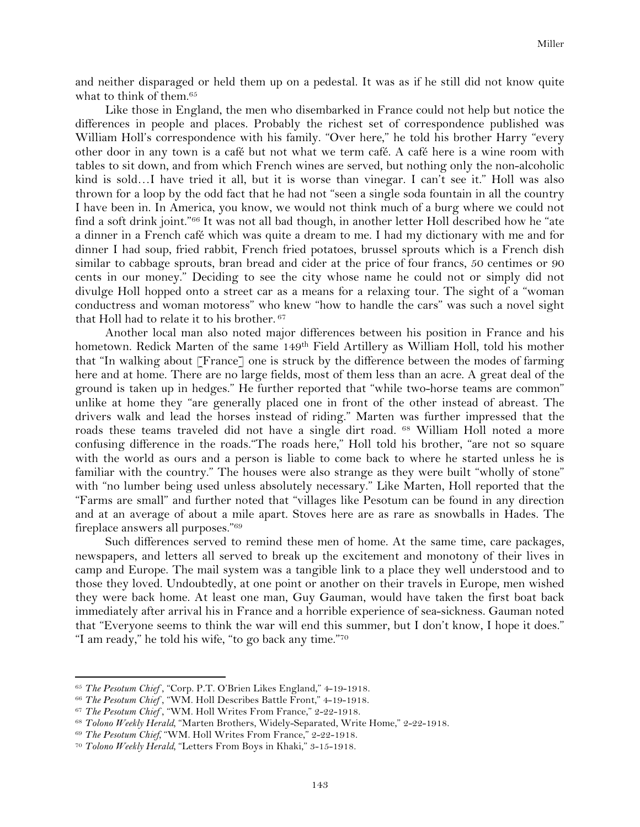and neither disparaged or held them up on a pedestal. It was as if he still did not know quite what to think of them.65

Like those in England, the men who disembarked in France could not help but notice the differences in people and places. Probably the richest set of correspondence published was William Holl's correspondence with his family. "Over here," he told his brother Harry "every other door in any town is a café but not what we term café. A café here is a wine room with tables to sit down, and from which French wines are served, but nothing only the non-alcoholic kind is sold…I have tried it all, but it is worse than vinegar. I can't see it." Holl was also thrown for a loop by the odd fact that he had not "seen a single soda fountain in all the country I have been in. In America, you know, we would not think much of a burg where we could not find a soft drink joint."66 It was not all bad though, in another letter Holl described how he "ate a dinner in a French café which was quite a dream to me. I had my dictionary with me and for dinner I had soup, fried rabbit, French fried potatoes, brussel sprouts which is a French dish similar to cabbage sprouts, bran bread and cider at the price of four francs, 50 centimes or 90 cents in our money." Deciding to see the city whose name he could not or simply did not divulge Holl hopped onto a street car as a means for a relaxing tour. The sight of a "woman conductress and woman motoress" who knew "how to handle the cars" was such a novel sight that Holl had to relate it to his brother. <sup>67</sup>

Another local man also noted major differences between his position in France and his hometown. Redick Marten of the same 149<sup>th</sup> Field Artillery as William Holl, told his mother that "In walking about [France] one is struck by the difference between the modes of farming here and at home. There are no large fields, most of them less than an acre. A great deal of the ground is taken up in hedges." He further reported that "while two-horse teams are common" unlike at home they "are generally placed one in front of the other instead of abreast. The drivers walk and lead the horses instead of riding." Marten was further impressed that the roads these teams traveled did not have a single dirt road. 68 William Holl noted a more confusing difference in the roads."The roads here," Holl told his brother, "are not so square with the world as ours and a person is liable to come back to where he started unless he is familiar with the country." The houses were also strange as they were built "wholly of stone" with "no lumber being used unless absolutely necessary." Like Marten, Holl reported that the "Farms are small" and further noted that "villages like Pesotum can be found in any direction and at an average of about a mile apart. Stoves here are as rare as snowballs in Hades. The fireplace answers all purposes."69

Such differences served to remind these men of home. At the same time, care packages, newspapers, and letters all served to break up the excitement and monotony of their lives in camp and Europe. The mail system was a tangible link to a place they well understood and to those they loved. Undoubtedly, at one point or another on their travels in Europe, men wished they were back home. At least one man, Guy Gauman, would have taken the first boat back immediately after arrival his in France and a horrible experience of sea-sickness. Gauman noted that "Everyone seems to think the war will end this summer, but I don't know, I hope it does." "I am ready," he told his wife, "to go back any time."70

<sup>&</sup>lt;sup>65</sup> *The Pesotum Chief*, "Corp. P.T. O'Brien Likes England," 4-19-1918.

<sup>66</sup> *The Pesotum Chief* , "WM. Holl Describes Battle Front," 4-19-1918.

<sup>67</sup> *The Pesotum Chief* , "WM. Holl Writes From France," 2-22-1918.

<sup>&</sup>lt;sup>68</sup> *Tolono Weekly Herald*, "Marten Brothers, Widely-Separated, Write Home," 2-22-1918.

<sup>69</sup> *The Pesotum Chief,* "WM. Holl Writes From France," 2-22-1918.

<sup>70</sup> *Tolono Weekly Herald,* "Letters From Boys in Khaki," 3-15-1918.